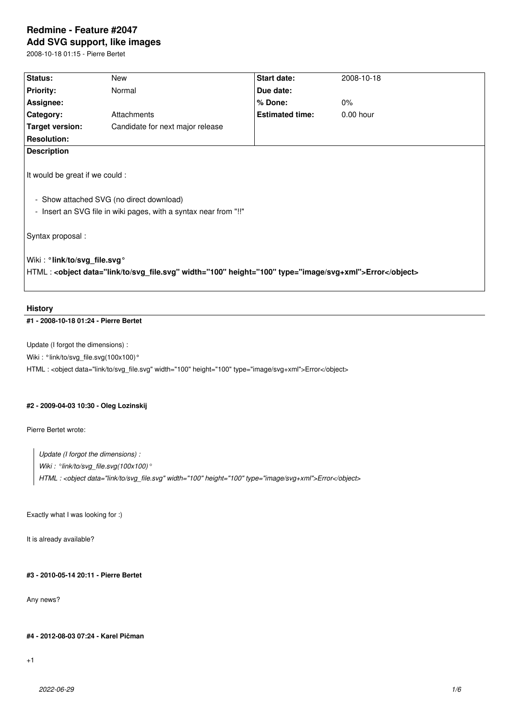# **Redmine - Feature #2047**

**Add SVG support, like images**

2008-10-18 01:15 - Pierre Bertet

| Status:                                                                                                                                         | <b>New</b>                       | Start date:            | 2008-10-18  |
|-------------------------------------------------------------------------------------------------------------------------------------------------|----------------------------------|------------------------|-------------|
| <b>Priority:</b>                                                                                                                                | Normal                           | Due date:              |             |
| Assignee:                                                                                                                                       |                                  | % Done:                | 0%          |
| Category:                                                                                                                                       | Attachments                      | <b>Estimated time:</b> | $0.00$ hour |
| <b>Target version:</b>                                                                                                                          | Candidate for next major release |                        |             |
| <b>Resolution:</b>                                                                                                                              |                                  |                        |             |
| <b>Description</b>                                                                                                                              |                                  |                        |             |
| It would be great if we could :<br>- Show attached SVG (no direct download)<br>- Insert an SVG file in wiki pages, with a syntax near from "!!" |                                  |                        |             |
| Syntax proposal :                                                                                                                               |                                  |                        |             |
| Wiki: °link/to/svg file.svg °<br>- HTML : <object data="link/to/svg_file.svg" height="100" type="image/svg+xml" width="100">Error</object>      |                                  |                        |             |

### **History**

# **#1 - 2008-10-18 01:24 - Pierre Bertet**

Update (I forgot the dimensions) :

Wiki: °link/to/svg\_file.svg(100x100)°

HTML : <object data="link/to/svg\_file.svg" width="100" height="100" type="image/svg+xml">Error</object>

### **#2 - 2009-04-03 10:30 - Oleg Lozinskij**

Pierre Bertet wrote:

*Update (I forgot the dimensions) : Wiki : °link/to/svg\_file.svg(100x100)° HTML : <object data="link/to/svg\_file.svg" width="100" height="100" type="image/svg+xml">Error</object>*

Exactly what I was looking for :)

It is already available?

# **#3 - 2010-05-14 20:11 - Pierre Bertet**

Any news?

#### **#4 - 2012-08-03 07:24 - Karel Pičman**

+1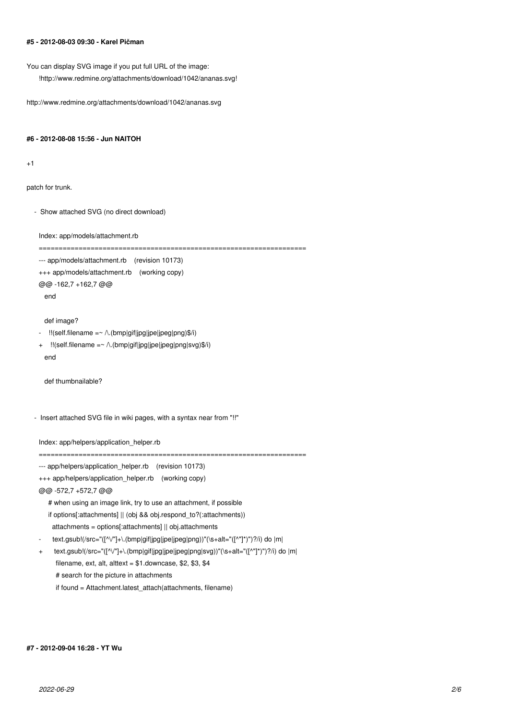### **#5 - 2012-08-03 09:30 - Karel Pičman**

You can display SVG image if you put full URL of the image:

!http://www.redmine.org/attachments/download/1042/ananas.svg!

http://www.redmine.org/attachments/download/1042/ananas.svg

#### **#6 - 2012-08-08 15:56 - Jun NAITOH**

 $+1$ 

patch for trunk.

- Show attached SVG (no direct download)

Index: app/models/attachment.rb

```
===================================================================
--- app/models/attachment.rb (revision 10173)
```

```
+++ app/models/attachment.rb (working copy)
```

```
@@ -162,7 +162,7 @@
```
end

#### def image?

- !!(self.filename =~ /\.(bmp|gif|jpg|jpe|jpeg|png)\$/i)
- + !!(self.filename =~ /\.(bmp|gif|jpg|jpe|jpeg|png|svg)\$/i) end

def thumbnailable?

- Insert attached SVG file in wiki pages, with a syntax near from "!!"

Index: app/helpers/application\_helper.rb

- --- app/helpers/application\_helper.rb (revision 10173)
- +++ app/helpers/application\_helper.rb (working copy)
- @@ -572,7 +572,7 @@
	- # when using an image link, try to use an attachment, if possible if options[:attachments] || (obj && obj.respond\_to?(:attachments)) attachments = options[:attachments] || obj.attachments
- text.gsub!(/src="([^\/"]+\.(bmp|gif|jpg|jpe|jpeg|png))"(\s+alt="([^"]\*)")?/i) do |m|
- + text.gsub!(/src="([^\/"]+\.(bmp|gif|jpg|jpe|jpeg|png|svg))"(\s+alt="([^"]\*)")?/i) do |m| filename, ext, alt, alttext =  $$1$ .downcase, \$2, \$3, \$4 # search for the picture in attachments

===================================================================

if found = Attachment.latest\_attach(attachments, filename)

#### **#7 - 2012-09-04 16:28 - YT Wu**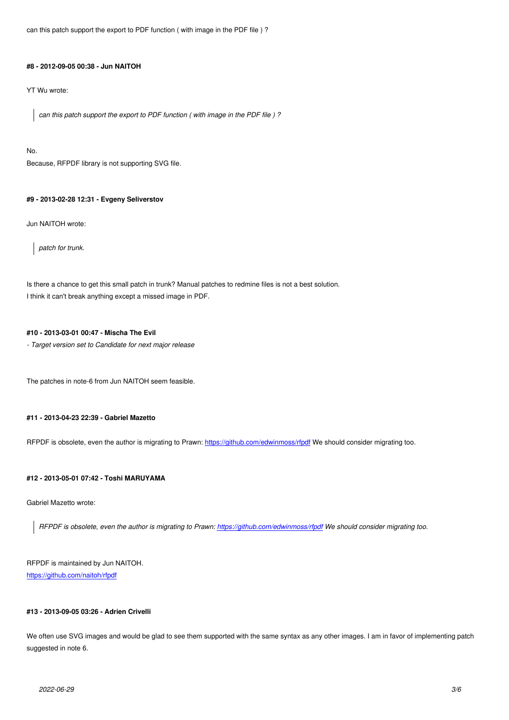### **#8 - 2012-09-05 00:38 - Jun NAITOH**

YT Wu wrote:

*can this patch support the export to PDF function ( with image in the PDF file ) ?*

No.

Because, RFPDF library is not supporting SVG file.

### **#9 - 2013-02-28 12:31 - Evgeny Seliverstov**

Jun NAITOH wrote:

*patch for trunk.*

Is there a chance to get this small patch in trunk? Manual patches to redmine files is not a best solution. I think it can't break anything except a missed image in PDF.

#### **#10 - 2013-03-01 00:47 - Mischa The Evil**

*- Target version set to Candidate for next major release*

The patches in note-6 from Jun NAITOH seem feasible.

#### **#11 - 2013-04-23 22:39 - Gabriel Mazetto**

RFPDF is obsolete, even the author is migrating to Prawn: https://github.com/edwinmoss/rfpdf We should consider migrating too.

#### **#12 - 2013-05-01 07:42 - Toshi MARUYAMA**

Gabriel Mazetto wrote:

*RFPDF is obsolete, even the author is migrating to Prawn: https://github.com/edwinmoss/rfpdf We should consider migrating too.*

# RFPDF is maintained by Jun NAITOH. https://github.com/naitoh/rfpdf

## **[#13 - 2013-09-05 03:26 - Adri](https://github.com/naitoh/rfpdf)en Crivelli**

We often use SVG images and would be glad to see them supported with the same syntax as any other images. I am in favor of implementing patch suggested in note 6.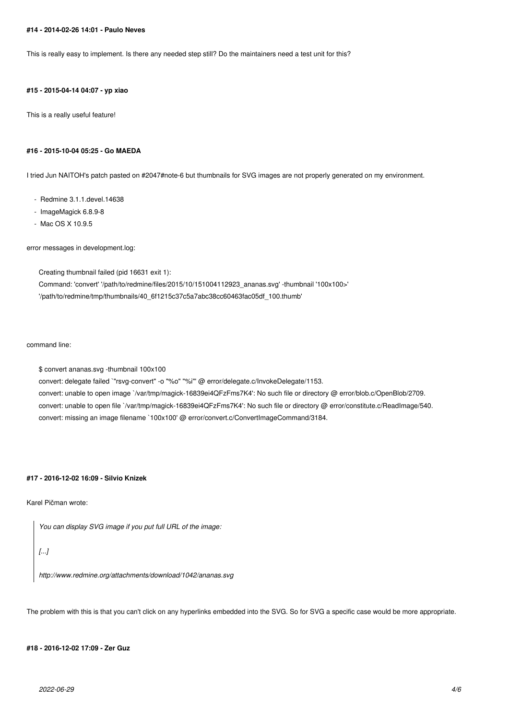#### **#14 - 2014-02-26 14:01 - Paulo Neves**

This is really easy to implement. Is there any needed step still? Do the maintainers need a test unit for this?

# **#15 - 2015-04-14 04:07 - yp xiao**

This is a really useful feature!

#### **#16 - 2015-10-04 05:25 - Go MAEDA**

I tried Jun NAITOH's patch pasted on #2047#note-6 but thumbnails for SVG images are not properly generated on my environment.

- Redmine 3.1.1.devel.14638
- ImageMagick 6.8.9-8
- Mac OS X 10.9.5

error messages in development.log:

Creating thumbnail failed (pid 16631 exit 1):

Command: 'convert' '/path/to/redmine/files/2015/10/151004112923\_ananas.svg' -thumbnail '100x100>' '/path/to/redmine/tmp/thumbnails/40\_6f1215c37c5a7abc38cc60463fac05df\_100.thumb'

command line:

\$ convert ananas.svg -thumbnail 100x100 convert: delegate failed `"rsvg-convert" -o "%o" "%i"' @ error/delegate.c/InvokeDelegate/1153. convert: unable to open image `/var/tmp/magick-16839ei4QFzFms7K4': No such file or directory @ error/blob.c/OpenBlob/2709. convert: unable to open file `/var/tmp/magick-16839ei4QFzFms7K4': No such file or directory @ error/constitute.c/ReadImage/540. convert: missing an image filename `100x100' @ error/convert.c/ConvertImageCommand/3184.

#### **#17 - 2016-12-02 16:09 - Silvio Knizek**

Karel Pičman wrote:

*You can display SVG image if you put full URL of the image:*

# *[...]*

*http://www.redmine.org/attachments/download/1042/ananas.svg*

The problem with this is that you can't click on any hyperlinks embedded into the SVG. So for SVG a specific case would be more appropriate.

#### **#18 - 2016-12-02 17:09 - Zer Guz**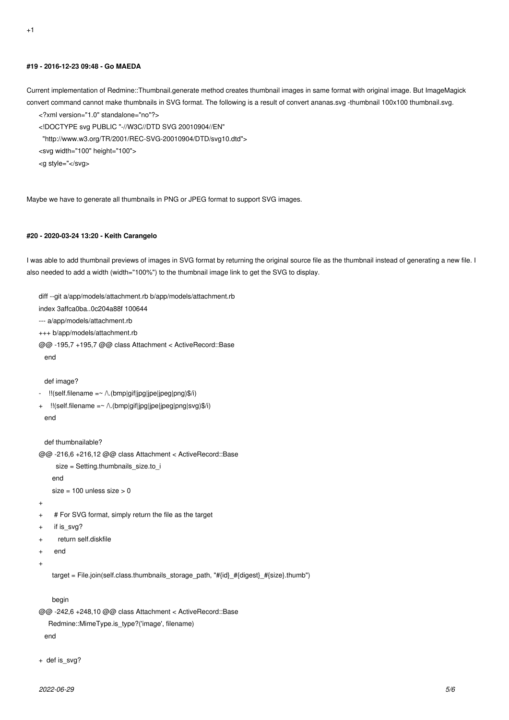### **#19 - 2016-12-23 09:48 - Go MAEDA**

Current implementation of Redmine::Thumbnail.generate method creates thumbnail images in same format with original image. But ImageMagick convert command cannot make thumbnails in SVG format. The following is a result of convert ananas.svg -thumbnail 100x100 thumbnail.svg.

- <?xml version="1.0" standalone="no"?>
- <!DOCTYPE svg PUBLIC "-//W3C//DTD SVG 20010904//EN"
- "http://www.w3.org/TR/2001/REC-SVG-20010904/DTD/svg10.dtd">
- <svg width="100" height="100">
- <g style="</svg>

Maybe we have to generate all thumbnails in PNG or JPEG format to support SVG images.

#### **#20 - 2020-03-24 13:20 - Keith Carangelo**

I was able to add thumbnail previews of images in SVG format by returning the original source file as the thumbnail instead of generating a new file. I also needed to add a width (width="100%") to the thumbnail image link to get the SVG to display.

```
diff --git a/app/models/attachment.rb b/app/models/attachment.rb
index 3affca0ba..0c204a88f 100644
--- a/app/models/attachment.rb
+++ b/app/models/attachment.rb
@@ -195,7 +195,7 @@ class Attachment < ActiveRecord::Base
   end
  def image?
   - !!(self.filename =~ /\.(bmp|gif|jpg|jpe|jpeg|png)$/i)
+ !!(self.filename =~ /\.(bmp|gif|jpg|jpe|jpeg|png|svg)$/i)
   end
   def thumbnailable?
@@ -216,6 +216,12 @@ class Attachment < ActiveRecord::Base
     size = Setting.thumbnails_size.to_i
     end
    size = 100 unless size > 0\overline{+}+ # For SVG format, simply return the file as the target
    if is_svg?
+ return self.diskfile
+ end
+
     target = File.join(self.class.thumbnails_storage_path, "#{id}_#{digest}_#{size}.thumb")
     begin
@@ -242,6 +248,10 @@ class Attachment < ActiveRecord::Base
    Redmine::MimeType.is_type?('image', filename)
```

```
 end
```
+ def is\_svg?